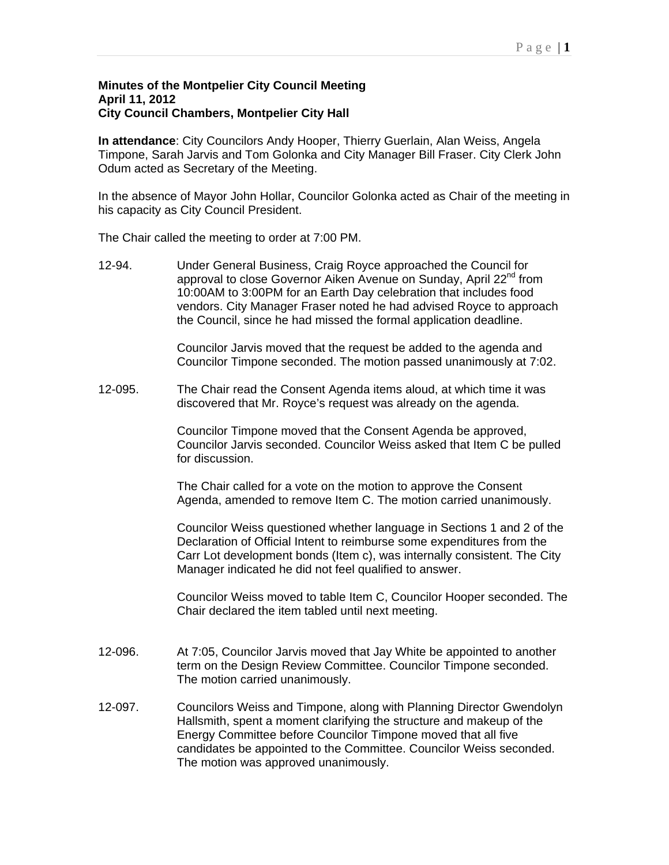## **Minutes of the Montpelier City Council Meeting April 11, 2012 City Council Chambers, Montpelier City Hall**

**In attendance**: City Councilors Andy Hooper, Thierry Guerlain, Alan Weiss, Angela Timpone, Sarah Jarvis and Tom Golonka and City Manager Bill Fraser. City Clerk John Odum acted as Secretary of the Meeting.

In the absence of Mayor John Hollar, Councilor Golonka acted as Chair of the meeting in his capacity as City Council President.

The Chair called the meeting to order at 7:00 PM.

12-94. Under General Business, Craig Royce approached the Council for approval to close Governor Aiken Avenue on Sunday, April 22<sup>nd</sup> from 10:00AM to 3:00PM for an Earth Day celebration that includes food vendors. City Manager Fraser noted he had advised Royce to approach the Council, since he had missed the formal application deadline.

> Councilor Jarvis moved that the request be added to the agenda and Councilor Timpone seconded. The motion passed unanimously at 7:02.

12-095. The Chair read the Consent Agenda items aloud, at which time it was discovered that Mr. Royce's request was already on the agenda.

> Councilor Timpone moved that the Consent Agenda be approved, Councilor Jarvis seconded. Councilor Weiss asked that Item C be pulled for discussion.

The Chair called for a vote on the motion to approve the Consent Agenda, amended to remove Item C. The motion carried unanimously.

Councilor Weiss questioned whether language in Sections 1 and 2 of the Declaration of Official Intent to reimburse some expenditures from the Carr Lot development bonds (Item c), was internally consistent. The City Manager indicated he did not feel qualified to answer.

Councilor Weiss moved to table Item C, Councilor Hooper seconded. The Chair declared the item tabled until next meeting.

- 12-096. At 7:05, Councilor Jarvis moved that Jay White be appointed to another term on the Design Review Committee. Councilor Timpone seconded. The motion carried unanimously.
- 12-097. Councilors Weiss and Timpone, along with Planning Director Gwendolyn Hallsmith, spent a moment clarifying the structure and makeup of the Energy Committee before Councilor Timpone moved that all five candidates be appointed to the Committee. Councilor Weiss seconded. The motion was approved unanimously.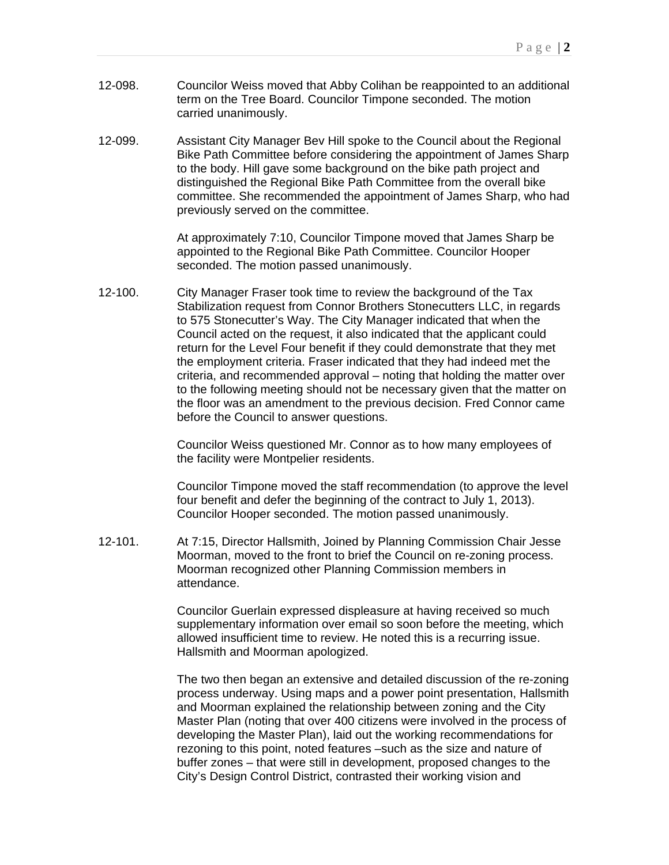- 12-098. Councilor Weiss moved that Abby Colihan be reappointed to an additional term on the Tree Board. Councilor Timpone seconded. The motion carried unanimously.
- 12-099. Assistant City Manager Bev Hill spoke to the Council about the Regional Bike Path Committee before considering the appointment of James Sharp to the body. Hill gave some background on the bike path project and distinguished the Regional Bike Path Committee from the overall bike committee. She recommended the appointment of James Sharp, who had previously served on the committee.

At approximately 7:10, Councilor Timpone moved that James Sharp be appointed to the Regional Bike Path Committee. Councilor Hooper seconded. The motion passed unanimously.

12-100. City Manager Fraser took time to review the background of the Tax Stabilization request from Connor Brothers Stonecutters LLC, in regards to 575 Stonecutter's Way. The City Manager indicated that when the Council acted on the request, it also indicated that the applicant could return for the Level Four benefit if they could demonstrate that they met the employment criteria. Fraser indicated that they had indeed met the criteria, and recommended approval – noting that holding the matter over to the following meeting should not be necessary given that the matter on the floor was an amendment to the previous decision. Fred Connor came before the Council to answer questions.

> Councilor Weiss questioned Mr. Connor as to how many employees of the facility were Montpelier residents.

Councilor Timpone moved the staff recommendation (to approve the level four benefit and defer the beginning of the contract to July 1, 2013). Councilor Hooper seconded. The motion passed unanimously.

12-101. At 7:15, Director Hallsmith, Joined by Planning Commission Chair Jesse Moorman, moved to the front to brief the Council on re-zoning process. Moorman recognized other Planning Commission members in attendance.

> Councilor Guerlain expressed displeasure at having received so much supplementary information over email so soon before the meeting, which allowed insufficient time to review. He noted this is a recurring issue. Hallsmith and Moorman apologized.

The two then began an extensive and detailed discussion of the re-zoning process underway. Using maps and a power point presentation, Hallsmith and Moorman explained the relationship between zoning and the City Master Plan (noting that over 400 citizens were involved in the process of developing the Master Plan), laid out the working recommendations for rezoning to this point, noted features –such as the size and nature of buffer zones – that were still in development, proposed changes to the City's Design Control District, contrasted their working vision and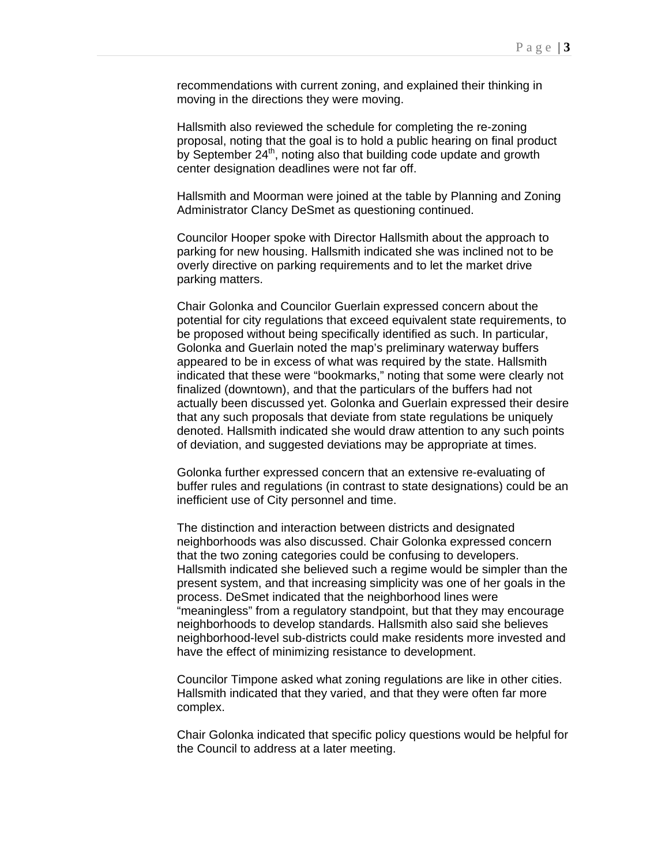recommendations with current zoning, and explained their thinking in moving in the directions they were moving.

Hallsmith also reviewed the schedule for completing the re-zoning proposal, noting that the goal is to hold a public hearing on final product by September  $24<sup>th</sup>$ , noting also that building code update and growth center designation deadlines were not far off.

Hallsmith and Moorman were joined at the table by Planning and Zoning Administrator Clancy DeSmet as questioning continued.

Councilor Hooper spoke with Director Hallsmith about the approach to parking for new housing. Hallsmith indicated she was inclined not to be overly directive on parking requirements and to let the market drive parking matters.

Chair Golonka and Councilor Guerlain expressed concern about the potential for city regulations that exceed equivalent state requirements, to be proposed without being specifically identified as such. In particular, Golonka and Guerlain noted the map's preliminary waterway buffers appeared to be in excess of what was required by the state. Hallsmith indicated that these were "bookmarks," noting that some were clearly not finalized (downtown), and that the particulars of the buffers had not actually been discussed yet. Golonka and Guerlain expressed their desire that any such proposals that deviate from state regulations be uniquely denoted. Hallsmith indicated she would draw attention to any such points of deviation, and suggested deviations may be appropriate at times.

Golonka further expressed concern that an extensive re-evaluating of buffer rules and regulations (in contrast to state designations) could be an inefficient use of City personnel and time.

The distinction and interaction between districts and designated neighborhoods was also discussed. Chair Golonka expressed concern that the two zoning categories could be confusing to developers. Hallsmith indicated she believed such a regime would be simpler than the present system, and that increasing simplicity was one of her goals in the process. DeSmet indicated that the neighborhood lines were "meaningless" from a regulatory standpoint, but that they may encourage neighborhoods to develop standards. Hallsmith also said she believes neighborhood-level sub-districts could make residents more invested and have the effect of minimizing resistance to development.

Councilor Timpone asked what zoning regulations are like in other cities. Hallsmith indicated that they varied, and that they were often far more complex.

Chair Golonka indicated that specific policy questions would be helpful for the Council to address at a later meeting.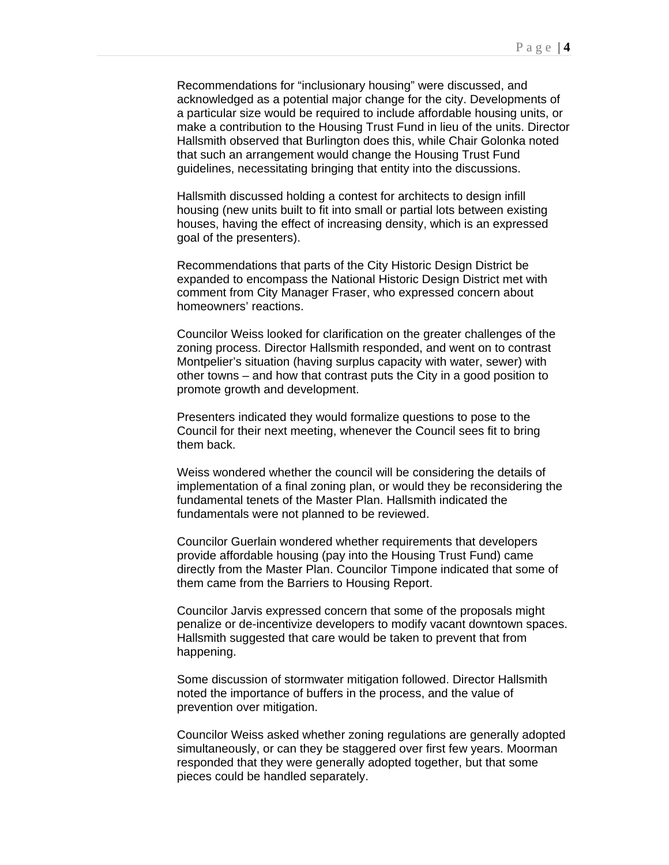Recommendations for "inclusionary housing" were discussed, and acknowledged as a potential major change for the city. Developments of a particular size would be required to include affordable housing units, or make a contribution to the Housing Trust Fund in lieu of the units. Director Hallsmith observed that Burlington does this, while Chair Golonka noted that such an arrangement would change the Housing Trust Fund guidelines, necessitating bringing that entity into the discussions.

Hallsmith discussed holding a contest for architects to design infill housing (new units built to fit into small or partial lots between existing houses, having the effect of increasing density, which is an expressed goal of the presenters).

Recommendations that parts of the City Historic Design District be expanded to encompass the National Historic Design District met with comment from City Manager Fraser, who expressed concern about homeowners' reactions.

Councilor Weiss looked for clarification on the greater challenges of the zoning process. Director Hallsmith responded, and went on to contrast Montpelier's situation (having surplus capacity with water, sewer) with other towns – and how that contrast puts the City in a good position to promote growth and development.

Presenters indicated they would formalize questions to pose to the Council for their next meeting, whenever the Council sees fit to bring them back.

Weiss wondered whether the council will be considering the details of implementation of a final zoning plan, or would they be reconsidering the fundamental tenets of the Master Plan. Hallsmith indicated the fundamentals were not planned to be reviewed.

Councilor Guerlain wondered whether requirements that developers provide affordable housing (pay into the Housing Trust Fund) came directly from the Master Plan. Councilor Timpone indicated that some of them came from the Barriers to Housing Report.

Councilor Jarvis expressed concern that some of the proposals might penalize or de-incentivize developers to modify vacant downtown spaces. Hallsmith suggested that care would be taken to prevent that from happening.

Some discussion of stormwater mitigation followed. Director Hallsmith noted the importance of buffers in the process, and the value of prevention over mitigation.

Councilor Weiss asked whether zoning regulations are generally adopted simultaneously, or can they be staggered over first few years. Moorman responded that they were generally adopted together, but that some pieces could be handled separately.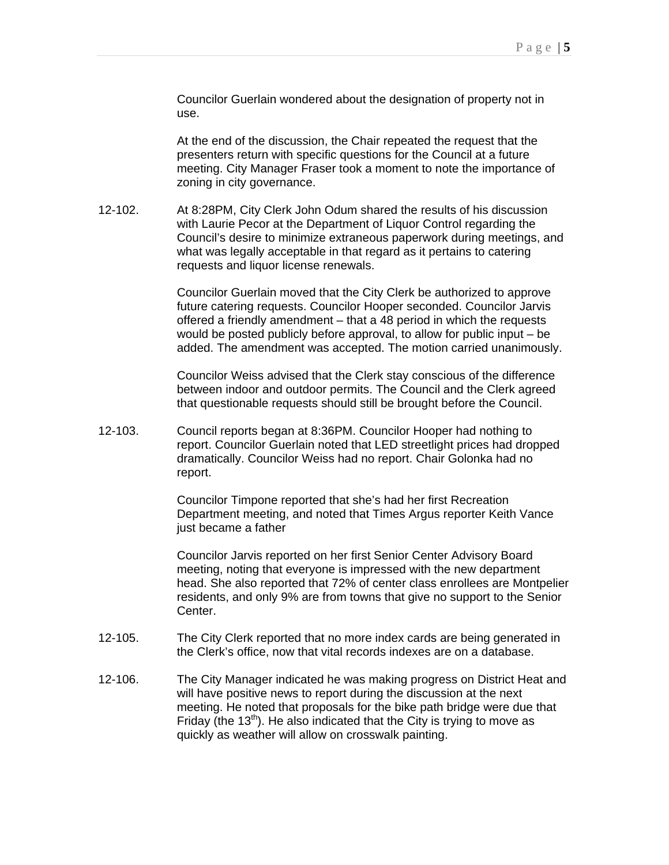Councilor Guerlain wondered about the designation of property not in use.

At the end of the discussion, the Chair repeated the request that the presenters return with specific questions for the Council at a future meeting. City Manager Fraser took a moment to note the importance of zoning in city governance.

12-102. At 8:28PM, City Clerk John Odum shared the results of his discussion with Laurie Pecor at the Department of Liquor Control regarding the Council's desire to minimize extraneous paperwork during meetings, and what was legally acceptable in that regard as it pertains to catering requests and liquor license renewals.

> Councilor Guerlain moved that the City Clerk be authorized to approve future catering requests. Councilor Hooper seconded. Councilor Jarvis offered a friendly amendment – that a 48 period in which the requests would be posted publicly before approval, to allow for public input – be added. The amendment was accepted. The motion carried unanimously.

Councilor Weiss advised that the Clerk stay conscious of the difference between indoor and outdoor permits. The Council and the Clerk agreed that questionable requests should still be brought before the Council.

12-103. Council reports began at 8:36PM. Councilor Hooper had nothing to report. Councilor Guerlain noted that LED streetlight prices had dropped dramatically. Councilor Weiss had no report. Chair Golonka had no report.

> Councilor Timpone reported that she's had her first Recreation Department meeting, and noted that Times Argus reporter Keith Vance just became a father

Councilor Jarvis reported on her first Senior Center Advisory Board meeting, noting that everyone is impressed with the new department head. She also reported that 72% of center class enrollees are Montpelier residents, and only 9% are from towns that give no support to the Senior Center.

- 12-105. The City Clerk reported that no more index cards are being generated in the Clerk's office, now that vital records indexes are on a database.
- 12-106. The City Manager indicated he was making progress on District Heat and will have positive news to report during the discussion at the next meeting. He noted that proposals for the bike path bridge were due that Friday (the  $13<sup>th</sup>$ ). He also indicated that the City is trying to move as quickly as weather will allow on crosswalk painting.